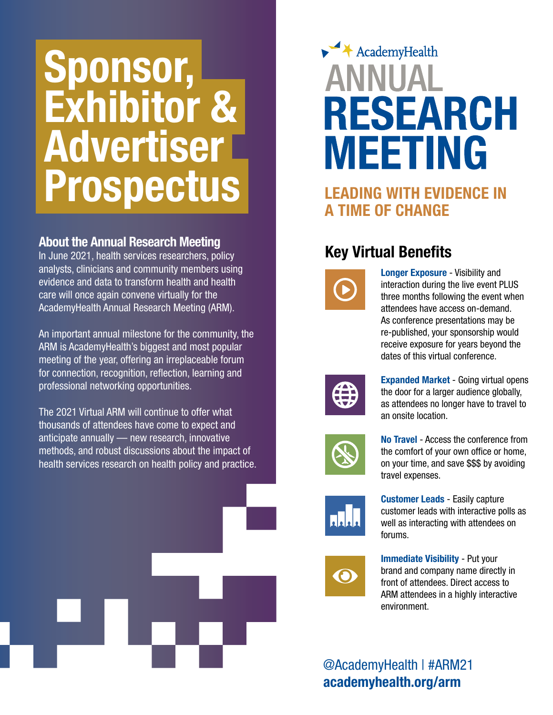## Sponsor, Exhibitor & Advertiser Prospectus

#### About the Annual Research Meeting

In June 2021, health services researchers, policy analysts, clinicians and community members using evidence and data to transform health and health care will once again convene virtually for the AcademyHealth Annual Research Meeting (ARM).

An important annual milestone for the community, the ARM is AcademyHealth's biggest and most popular meeting of the year, offering an irreplaceable forum for connection, recognition, reflection, learning and professional networking opportunities.

The 2021 Virtual ARM will continue to offer what thousands of attendees have come to expect and anticipate annually — new research, innovative methods, and robust discussions about the impact of health services research on health policy and practice.



### $\blacktriangleright$   $\blacktriangleleft$  AcademyHealth **ANNITAL RESEARCH MEETING**

### LEADING WITH EVIDENCE IN A TIME OF CHANGE

### Key Virtual Benefits



Longer Exposure - Visibility and interaction during the live event PLUS three months following the event when attendees have access on-demand. As conference presentations may be re-published, your sponsorship would receive exposure for years beyond the dates of this virtual conference.



Expanded Market - Going virtual opens the door for a larger audience globally, as attendees no longer have to travel to an onsite location.



No Travel - Access the conference from the comfort of your own office or home, on your time, and save \$\$\$ by avoiding travel expenses.



Customer Leads - Easily capture customer leads with interactive polls as well as interacting with attendees on forums.



Immediate Visibility - Put your brand and company name directly in front of attendees. Direct access to ARM attendees in a highly interactive environment.

@AcademyHealth | #ARM21 academyhealth.org/arm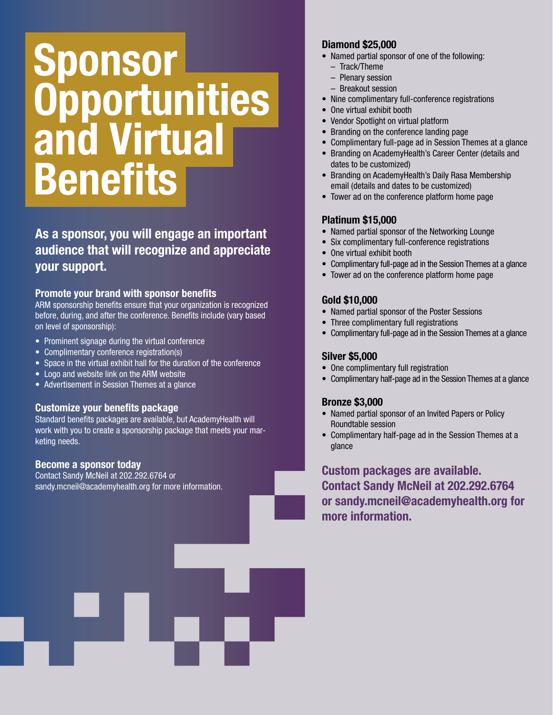## Sponsor **Opportunities** and Virtual Benefits

As a sponsor, you will engage an important audience that will recognize and appreciate your support.

#### Promote your brand with sponsor benefits

ARM sponsorship benefits ensure that your organization is recognized before, during, and after the conference. Benefits include (vary based on level of sponsorship):

- Prominent signage during the virtual conference
- Complimentary conference registration(s)
- Space in the virtual exhibit hall for the duration of the conference
- Logo and website link on the ARM website
- Advertisement in Session Themes at a glance

#### Customize your benefits package

Standard benefits packages are available, but AcademyHealth will work with you to create a sponsorship package that meets your marketing needs.

#### Become a sponsor today

Contact Sandy McNeil at 202.292.6764 or sandy.mcneil@academyhealth.org for more information.

#### Diamond \$25,000

- Named partial sponsor of one of the following:
	- Track/Theme
	- Plenary session
	- Breakout session
- Nine complimentary full-conference registrations
- One virtual exhibit booth
- Vendor Spotlight on virtual platform
- Branding on the conference landing page
- Complimentary full-page ad in Session Themes at a glance
- Branding on AcademyHealth's Career Center (details and dates to be customized)
- Branding on AcademyHealth's Daily Rasa Membership email (details and dates to be customized)
- Tower ad on the conference platform home page

#### Platinum \$15,000

- Named partial sponsor of the Networking Lounge
- Six complimentary full-conference registrations
- One virtual exhibit booth
- Complimentary full-page ad in the Session Themes at a glance
- Tower ad on the conference platform home page

#### Gold \$10,000

- Named partial sponsor of the Poster Sessions
- Three complimentary full registrations
- Complimentary full-page ad in the Session Themes at a glance

#### Silver \$5,000

- One complimentary full registration
- Complimentary half-page ad in the Session Themes at a glance

#### Bronze \$3,000

- Named partial sponsor of an Invited Papers or Policy Roundtable session
- Complimentary half-page ad in the Session Themes at a glance

Custom packages are available. Contact Sandy McNeil at 202.292.6764 or sandy.mcneil@academyhealth.org for more information.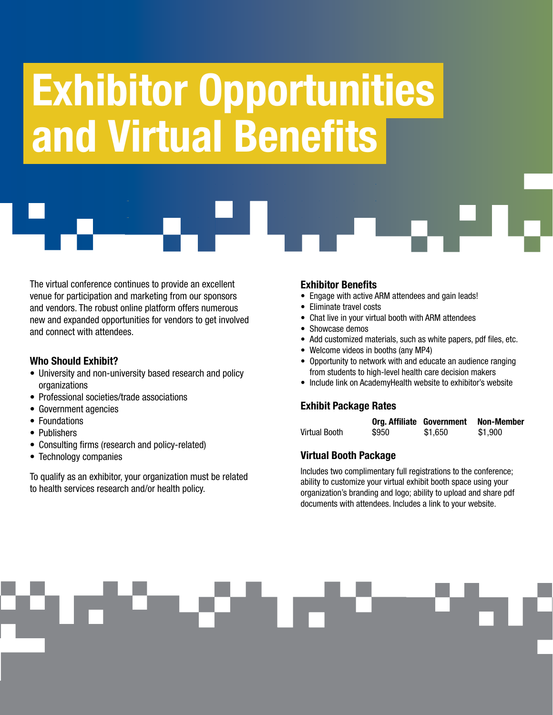# , and Virtual BenefitsExhibitor Opportunities

The virtual conference continues to provide an excellent venue for participation and marketing from our sponsors and vendors. The robust online platform offers numerous new and expanded opportunities for vendors to get involved and connect with attendees.

#### Who Should Exhibit?

- University and non-university based research and policy organizations
- Professional societies/trade associations
- Government agencies
- Foundations
- Publishers
- Consulting firms (research and policy-related)
- Technology companies

To qualify as an exhibitor, your organization must be related to health services research and/or health policy.

#### Exhibitor Benefits

- Engage with active ARM attendees and gain leads!
- Eliminate travel costs
- Chat live in your virtual booth with ARM attendees
- Showcase demos
- Add customized materials, such as white papers, pdf files, etc.
- Welcome videos in booths (any MP4)
- Opportunity to network with and educate an audience ranging from students to high-level health care decision makers
- Include link on AcademyHealth website to exhibitor's website

#### Exhibit Package Rates

|               | Org. Affiliate Government |         | Non-Member |
|---------------|---------------------------|---------|------------|
| Virtual Booth | \$950                     | \$1.650 | \$1,900    |

#### Virtual Booth Package

Includes two complimentary full registrations to the conference; ability to customize your virtual exhibit booth space using your organization's branding and logo; ability to upload and share pdf documents with attendees. Includes a link to your website.